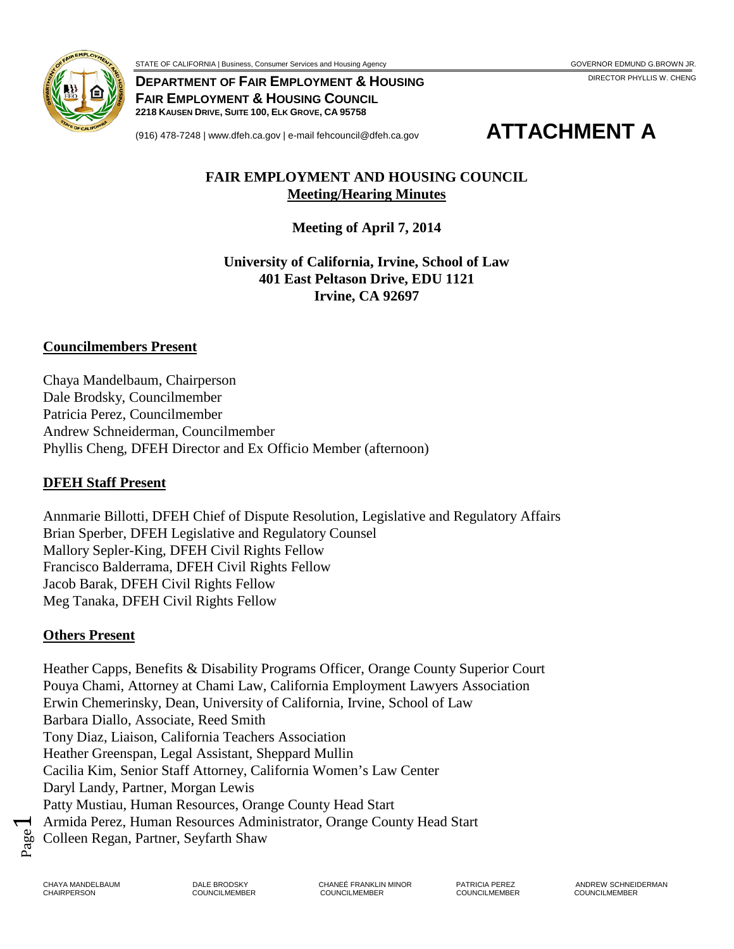

**DEPARTMENT OF FAIR EMPLOYMENT & HOUSING FAIR EMPLOYMENT & HOUSING COUNCIL** 

**2218 KAUSEN DRIVE, SUITE 100, ELK GROVE, CA 95758**



#### **FAIR EMPLOYMENT AND HOUSING COUNCIL Meeting/Hearing Minutes**

**Meeting of April 7, 2014**

**University of California, Irvine, School of Law 401 East Peltason Drive, EDU 1121 Irvine, CA 92697**

#### **Councilmembers Present**

Chaya Mandelbaum, Chairperson Dale Brodsky, Councilmember Patricia Perez, Councilmember Andrew Schneiderman, Councilmember Phyllis Cheng, DFEH Director and Ex Officio Member (afternoon)

#### **DFEH Staff Present**

Annmarie Billotti, DFEH Chief of Dispute Resolution, Legislative and Regulatory Affairs Brian Sperber, DFEH Legislative and Regulatory Counsel Mallory Sepler-King, DFEH Civil Rights Fellow Francisco Balderrama, DFEH Civil Rights Fellow Jacob Barak, DFEH Civil Rights Fellow Meg Tanaka, DFEH Civil Rights Fellow

### **Others Present**

Heather Capps, Benefits & Disability Programs Officer, Orange County Superior Court Pouya Chami, Attorney at Chami Law, California Employment Lawyers Association Erwin Chemerinsky, Dean, University of California, Irvine, School of Law Barbara Diallo, Associate, Reed Smith Tony Diaz, Liaison, California Teachers Association Heather Greenspan, Legal Assistant, Sheppard Mullin Cacilia Kim, Senior Staff Attorney, California Women's Law Center Daryl Landy, Partner, Morgan Lewis Patty Mustiau, Human Resources, Orange County Head Start Armida Perez, Human Resources Administrator, Orange County Head Start Colleen Regan, Partner, Seyfarth Shaw

Page  $\blacktriangleleft$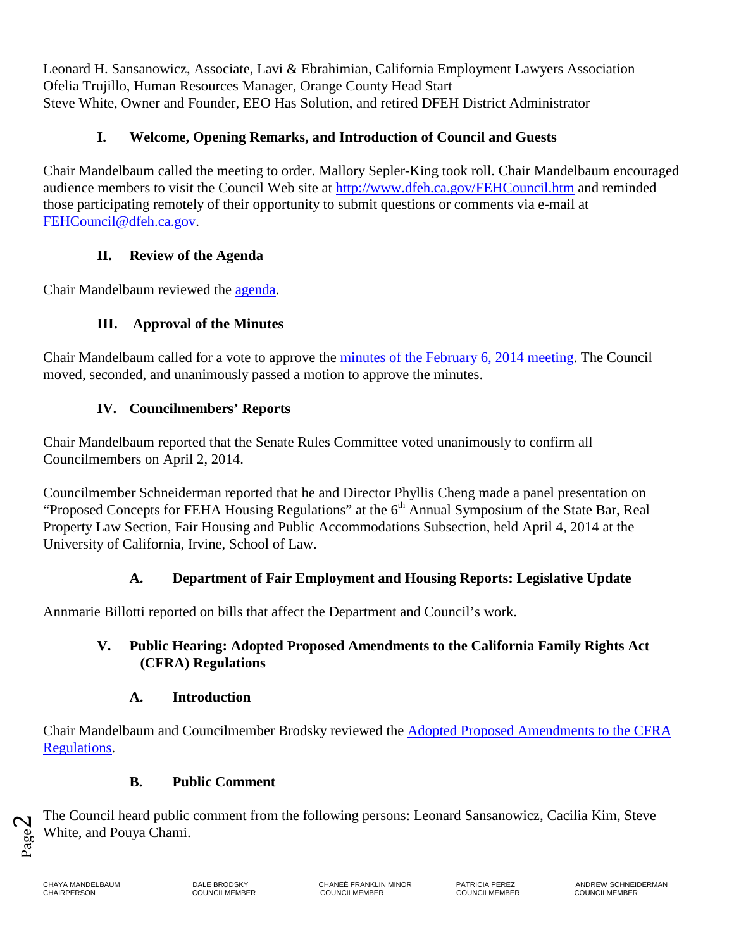Leonard H. Sansanowicz, Associate, Lavi & Ebrahimian, California Employment Lawyers Association Ofelia Trujillo, Human Resources Manager, Orange County Head Start Steve White, Owner and Founder, EEO Has Solution, and retired DFEH District Administrator

# **I. Welcome, Opening Remarks, and Introduction of Council and Guests**

Chair Mandelbaum called the meeting to order. Mallory Sepler-King took roll. Chair Mandelbaum encouraged audience members to visit the Council Web site at <http://www.dfeh.ca.gov/FEHCouncil.htm> and reminded those participating remotely of their opportunity to submit questions or comments via e-mail at [FEHCouncil@dfeh.ca.gov.](mailto:FEHCouncil@dfeh.ca.gov)

# **II. Review of the Agenda**

Chair Mandelbaum reviewed the [agenda.](http://www.dfeh.ca.gov/res/docs/Council/4-7-14%20Meeting/Notice%20and%20Agenda%204-7-14%20final.pdf)

# **III. Approval of the Minutes**

Chair Mandelbaum called for a vote to approve the [minutes of the February 6, 2014](http://www.dfeh.ca.gov/res/docs/Council/4-7-14%20Meeting/Attachment%20A%202-6-14%20Council%20Meeting%20Minutes%20final.pdf) meeting. The Council moved, seconded, and unanimously passed a motion to approve the minutes.

# **IV. Councilmembers' Reports**

Chair Mandelbaum reported that the Senate Rules Committee voted unanimously to confirm all Councilmembers on April 2, 2014.

Councilmember Schneiderman reported that he and Director Phyllis Cheng made a panel presentation on "Proposed Concepts for FEHA Housing Regulations" at the  $6<sup>th</sup>$  Annual Symposium of the State Bar, Real Property Law Section, Fair Housing and Public Accommodations Subsection, held April 4, 2014 at the University of California, Irvine, School of Law.

# **A. Department of Fair Employment and Housing Reports: Legislative Update**

Annmarie Billotti reported on bills that affect the Department and Council's work.

## **V. Public Hearing: Adopted Proposed Amendments to the California Family Rights Act (CFRA) Regulations**

### **A. Introduction**

Chair Mandelbaum and Councilmember Brodsky reviewed the [Adopted Proposed Amendments to the CFRA](http://www.dfeh.ca.gov/res/docs/Council/4-7-14%20Meeting/Attachment%20D%20-%20Text%20of%20Proposed%20Amendments%20to%20CFRA%20Regulations%20final.pdf) [Regulations.](http://www.dfeh.ca.gov/res/docs/Council/4-7-14%20Meeting/Attachment%20D%20-%20Text%20of%20Proposed%20Amendments%20to%20CFRA%20Regulations%20final.pdf)

# **B. Public Comment**

The Council heard public comment from the following persons: Leonard Sansanowicz, Cacilia Kim, Steve White, and Pouya Chami.

Page  $\boldsymbol{\mathsf{C}}$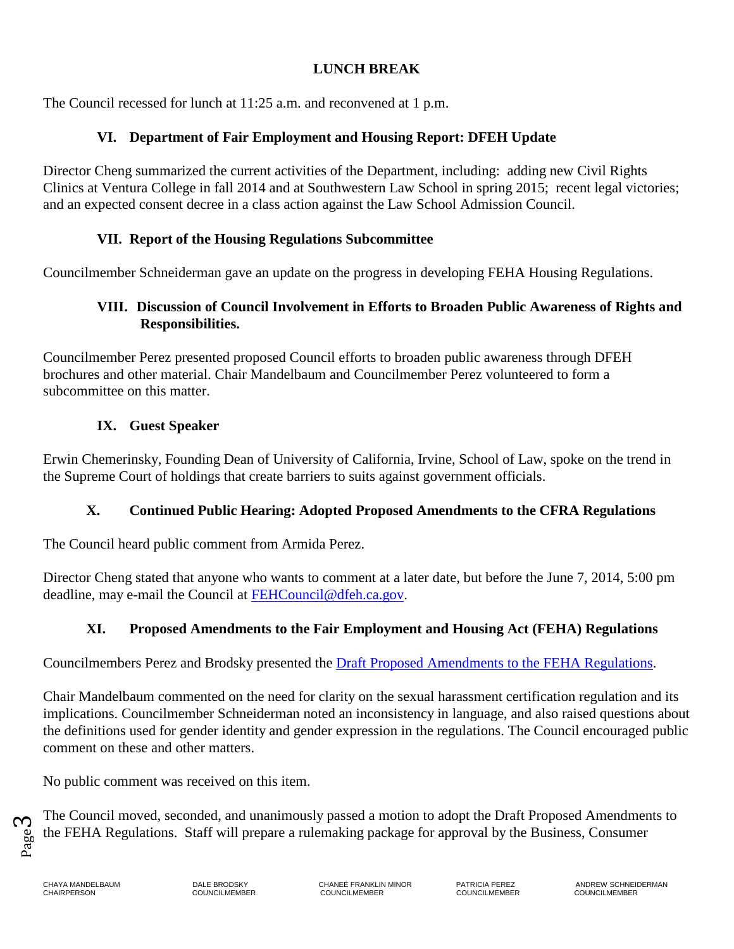## **LUNCH BREAK**

The Council recessed for lunch at 11:25 a.m. and reconvened at 1 p.m.

## **VI. Department of Fair Employment and Housing Report: DFEH Update**

Director Cheng summarized the current activities of the Department, including: adding new Civil Rights Clinics at Ventura College in fall 2014 and at Southwestern Law School in spring 2015; recent legal victories; and an expected consent decree in a class action against the Law School Admission Council.

### **VII. Report of the Housing Regulations Subcommittee**

Councilmember Schneiderman gave an update on the progress in developing FEHA Housing Regulations.

#### **VIII. Discussion of Council Involvement in Efforts to Broaden Public Awareness of Rights and Responsibilities.**

Councilmember Perez presented proposed Council efforts to broaden public awareness through DFEH brochures and other material. Chair Mandelbaum and Councilmember Perez volunteered to form a subcommittee on this matter.

### **IX. Guest Speaker**

Erwin Chemerinsky, Founding Dean of University of California, Irvine, School of Law, spoke on the trend in the Supreme Court of holdings that create barriers to suits against government officials.

### **X. Continued Public Hearing: Adopted Proposed Amendments to the CFRA Regulations**

The Council heard public comment from Armida Perez.

Director Cheng stated that anyone who wants to comment at a later date, but before the June 7, 2014, 5:00 pm deadline, may e-mail the Council at [FEHCouncil@dfeh.ca.gov.](mailto:FEHCouncil@dfeh.ca.gov)

# **XI. Proposed Amendments to the Fair Employment and Housing Act (FEHA) Regulations**

Councilmembers Perez and Brodsky presented the [Draft Proposed Amendments to the FEHA Regulations.](http://www.dfeh.ca.gov/res/docs/Council/4-7-14%20Meeting/Attachment%20E%20-%20FEHA%20Regs%20Master%203-28-14%20(final).pdf)

Chair Mandelbaum commented on the need for clarity on the sexual harassment certification regulation and its implications. Councilmember Schneiderman noted an inconsistency in language, and also raised questions about the definitions used for gender identity and gender expression in the regulations. The Council encouraged public comment on these and other matters.

No public comment was received on this item.

Page <u>က</u>

The Council moved, seconded, and unanimously passed a motion to adopt the Draft Proposed Amendments to the FEHA Regulations. Staff will prepare a rulemaking package for approval by the Business, Consumer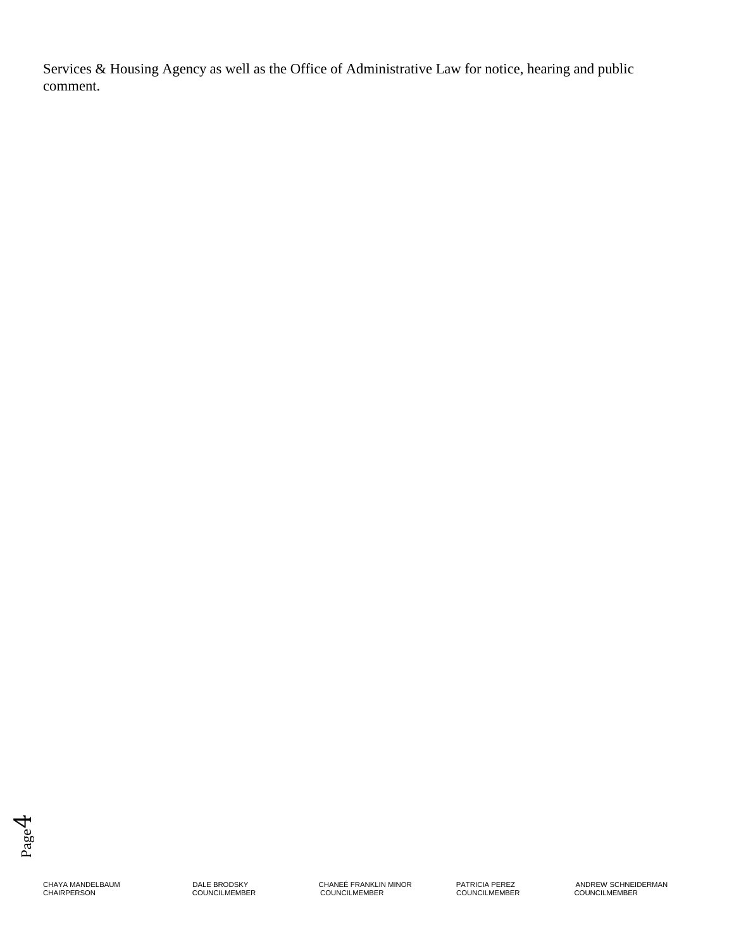Services & Housing Agency as well as the Office of Administrative Law for notice, hearing and public comment.